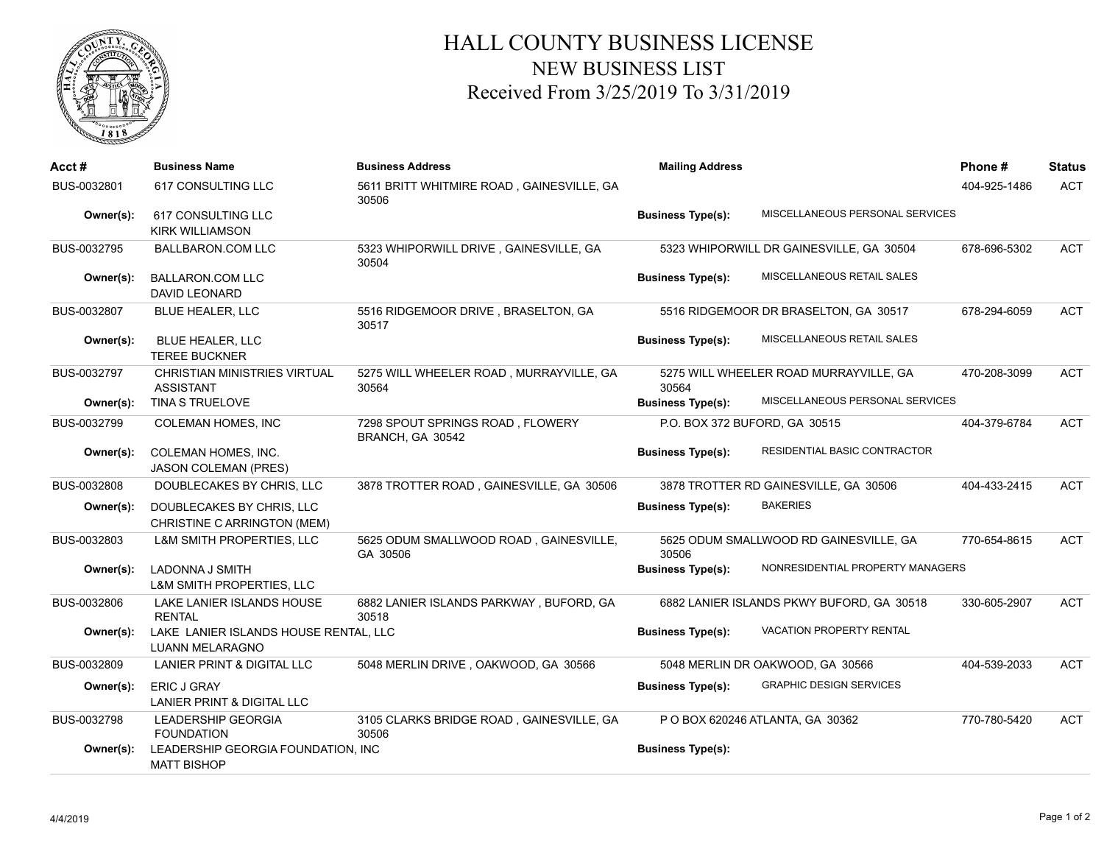

## HALL COUNTY BUSINESS LICENSE NEW BUSINESS LIST Received From 3/25/2019 To 3/31/2019

| Acct#       | <b>Business Name</b>                                            | <b>Business Address</b>                              | <b>Mailing Address</b>        |                                           | Phone#       | <b>Status</b> |
|-------------|-----------------------------------------------------------------|------------------------------------------------------|-------------------------------|-------------------------------------------|--------------|---------------|
| BUS-0032801 | 617 CONSULTING LLC                                              | 5611 BRITT WHITMIRE ROAD, GAINESVILLE, GA<br>30506   |                               |                                           | 404-925-1486 | <b>ACT</b>    |
| Owner(s):   | 617 CONSULTING LLC<br><b>KIRK WILLIAMSON</b>                    |                                                      | <b>Business Type(s):</b>      | MISCELLANEOUS PERSONAL SERVICES           |              |               |
| BUS-0032795 | <b>BALLBARON.COM LLC</b>                                        | 5323 WHIPORWILL DRIVE, GAINESVILLE, GA<br>30504      |                               | 5323 WHIPORWILL DR GAINESVILLE, GA 30504  | 678-696-5302 | <b>ACT</b>    |
| Owner(s):   | <b>BALLARON.COM LLC</b><br><b>DAVID LEONARD</b>                 |                                                      | <b>Business Type(s):</b>      | MISCELLANEOUS RETAIL SALES                |              |               |
| BUS-0032807 | BLUE HEALER, LLC                                                | 5516 RIDGEMOOR DRIVE, BRASELTON, GA<br>30517         |                               | 5516 RIDGEMOOR DR BRASELTON, GA 30517     | 678-294-6059 | <b>ACT</b>    |
| Owner(s):   | BLUE HEALER, LLC<br><b>TEREE BUCKNER</b>                        |                                                      | <b>Business Type(s):</b>      | MISCELLANEOUS RETAIL SALES                |              |               |
| BUS-0032797 | <b>CHRISTIAN MINISTRIES VIRTUAL</b><br><b>ASSISTANT</b>         | 5275 WILL WHEELER ROAD, MURRAYVILLE, GA<br>30564     | 30564                         | 5275 WILL WHEELER ROAD MURRAYVILLE, GA    | 470-208-3099 | <b>ACT</b>    |
| Owner(s):   | <b>TINA S TRUELOVE</b>                                          |                                                      | <b>Business Type(s):</b>      | MISCELLANEOUS PERSONAL SERVICES           |              |               |
| BUS-0032799 | <b>COLEMAN HOMES, INC</b>                                       | 7298 SPOUT SPRINGS ROAD, FLOWERY<br>BRANCH, GA 30542 | P.O. BOX 372 BUFORD, GA 30515 |                                           | 404-379-6784 | <b>ACT</b>    |
| Owner(s):   | COLEMAN HOMES, INC.<br><b>JASON COLEMAN (PRES)</b>              |                                                      | <b>Business Type(s):</b>      | RESIDENTIAL BASIC CONTRACTOR              |              |               |
| BUS-0032808 | DOUBLECAKES BY CHRIS, LLC                                       | 3878 TROTTER ROAD, GAINESVILLE, GA 30506             |                               | 3878 TROTTER RD GAINESVILLE, GA 30506     | 404-433-2415 | <b>ACT</b>    |
| Owner(s):   | DOUBLECAKES BY CHRIS, LLC<br>CHRISTINE C ARRINGTON (MEM)        |                                                      | <b>Business Type(s):</b>      | <b>BAKERIES</b>                           |              |               |
| BUS-0032803 | L&M SMITH PROPERTIES, LLC                                       | 5625 ODUM SMALLWOOD ROAD, GAINESVILLE,<br>GA 30506   | 30506                         | 5625 ODUM SMALLWOOD RD GAINESVILLE, GA    | 770-654-8615 | <b>ACT</b>    |
| Owner(s):   | <b>LADONNA J SMITH</b><br><b>L&amp;M SMITH PROPERTIES, LLC</b>  |                                                      | <b>Business Type(s):</b>      | NONRESIDENTIAL PROPERTY MANAGERS          |              |               |
| BUS-0032806 | LAKE LANIER ISLANDS HOUSE<br><b>RENTAL</b>                      | 6882 LANIER ISLANDS PARKWAY, BUFORD, GA<br>30518     |                               | 6882 LANIER ISLANDS PKWY BUFORD, GA 30518 | 330-605-2907 | <b>ACT</b>    |
| Owner(s):   | LAKE LANIER ISLANDS HOUSE RENTAL, LLC<br><b>LUANN MELARAGNO</b> |                                                      | <b>Business Type(s):</b>      | <b>VACATION PROPERTY RENTAL</b>           |              |               |
| BUS-0032809 | LANIER PRINT & DIGITAL LLC                                      | 5048 MERLIN DRIVE, OAKWOOD, GA 30566                 |                               | 5048 MERLIN DR OAKWOOD, GA 30566          | 404-539-2033 | <b>ACT</b>    |
| Owner(s):   | ERIC J GRAY<br>LANIER PRINT & DIGITAL LLC                       |                                                      | <b>Business Type(s):</b>      | <b>GRAPHIC DESIGN SERVICES</b>            |              |               |
| BUS-0032798 | <b>LEADERSHIP GEORGIA</b><br><b>FOUNDATION</b>                  | 3105 CLARKS BRIDGE ROAD, GAINESVILLE, GA<br>30506    |                               | P O BOX 620246 ATLANTA, GA 30362          | 770-780-5420 | <b>ACT</b>    |
| Owner(s):   | LEADERSHIP GEORGIA FOUNDATION, INC<br><b>MATT BISHOP</b>        |                                                      | <b>Business Type(s):</b>      |                                           |              |               |